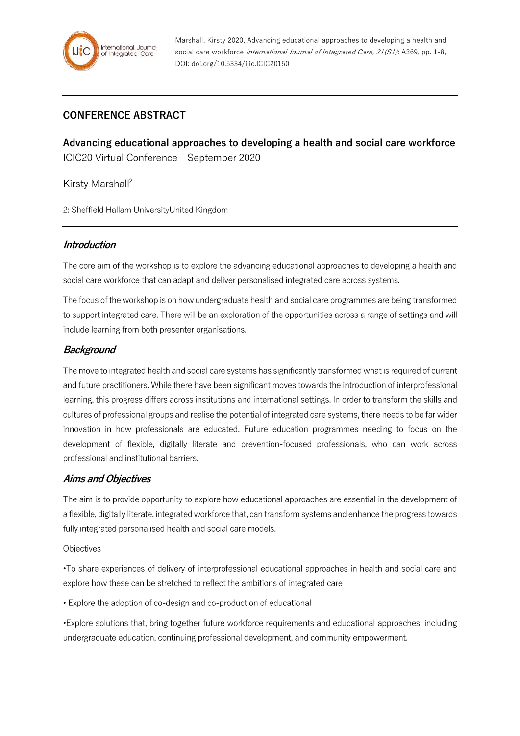

Marshall, Kirsty 2020, Advancing educational approaches to developing a health and social care workforce International Journal of Integrated Care, 21(S1): A369, pp. 1-8, DOI: doi.org/10.5334/ijic.ICIC20150

# **CONFERENCE ABSTRACT**

**Advancing educational approaches to developing a health and social care workforce** ICIC20 Virtual Conference – September 2020

Kirsty Marshall<sup>2</sup>

2: Sheffield Hallam UniversityUnited Kingdom

## **Introduction**

The core aim of the workshop is to explore the advancing educational approaches to developing a health and social care workforce that can adapt and deliver personalised integrated care across systems.

The focus of the workshop is on how undergraduate health and social care programmes are being transformed to support integrated care. There will be an exploration of the opportunities across a range of settings and will include learning from both presenter organisations.

## **Background**

The move to integrated health and social care systems has significantly transformed what is required of current and future practitioners. While there have been significant moves towards the introduction of interprofessional learning, this progress differs across institutions and international settings. In order to transform the skills and cultures of professional groups and realise the potential of integrated care systems, there needs to be far wider innovation in how professionals are educated. Future education programmes needing to focus on the development of flexible, digitally literate and prevention-focused professionals, who can work across professional and institutional barriers.

### **Aims and Objectives**

The aim is to provide opportunity to explore how educational approaches are essential in the development of a flexible, digitally literate, integrated workforce that, can transform systems and enhance the progress towards fully integrated personalised health and social care models.

#### **Objectives**

•To share experiences of delivery of interprofessional educational approaches in health and social care and explore how these can be stretched to reflect the ambitions of integrated care

• Explore the adoption of co-design and co-production of educational

•Explore solutions that, bring together future workforce requirements and educational approaches, including undergraduate education, continuing professional development, and community empowerment.